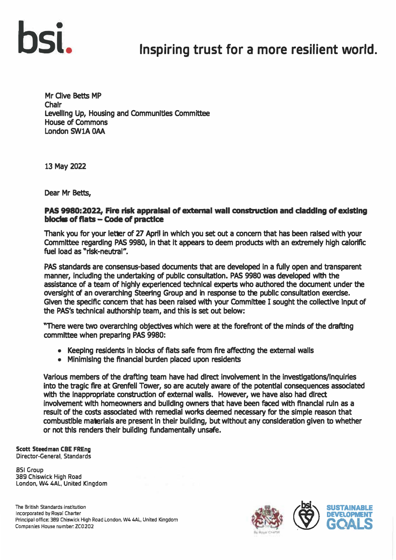

### Inspiring trust for a more resilient world.

**Mr Clive Betts MP Chair Levelling Up, Housing and Communities Committee House of Commons London SW1A OAA** 

**13 May 2022** 

**Dear Mr Betts,** 

#### **PAS 9980:2022, Fire risk appraisal of external wall construction and cladding of existing blocks of flats -Code of practice**

**Thank you for your letter of 27 April in which you set out a concern that has been raised with your Committee regarding PAS 9980, in that It appears to deem products with an extremely high calorific fuel load as "rlsk-neub'al<sup>n</sup> .** 

**PAS standards are consensus-based documents that are developed in a fully open and transparent manner, includlng the undertaking of public consultation. PAS 9980 was developed with the assistance of a team of highly experienced technical experts who authored the document under the oversight of an overarching Steering Group and in response to the public consultation exercise. Given the specific concern that has been raised with your Committee I sought the collectlve Input of the PAS's technical authorship team, and this is set out below:** 

**"There were two overarching objectives which were at the forefront of the minds of the drafting committee when preparing PAS 9980:** 

- **• Keeping residents in blocks of flats safe from fire affecting the external walls**
- **• Minimising the financial burden placed upon residents**

**Various members of the drafting team have had direct involvement In the investigations/Inquiries into the tragic fire at Grenfell Tower, so are acutely aware of the potential consequences associated**  with the inappropriate construction of external walls. However, we have also had direct **involvement with homeowners and building owners that have been faced with ftnanclal ruin as a result of the costs associated with remedial works deemed necessary for the simple reason that combustible materials are present In their building, but without any consideration given to whether or not this renders their building fundamentally unsafe.** 

#### **Scott Steedman CBE FREng Director-General, Standards**

**851 Group 389 Chiswick High Road London, W4 4AL, United Kingdom** 

**The British Standards Institution Incorporated by Royal Charter**  Principal office: 389 Chiswick High Road London, W4 4AL, United Kingdom **Companies House number. ZC0202** 

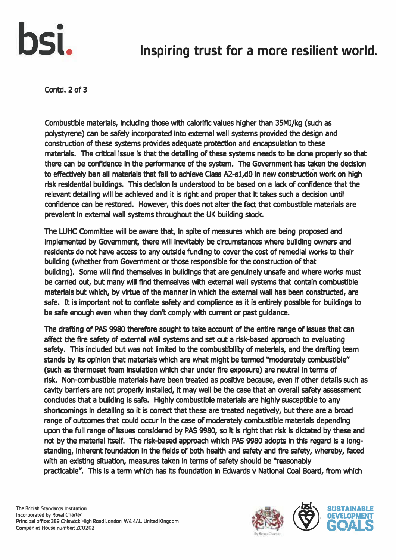

## **SI.** Inspiring trust for a more resilient world.

**Contd. 2 of 3** 

**Combustible materials, Including those with calorific values higher than 35Ml/kg (such as polystyrene) can be safely incorporated Into external wall systems provided the design and construction of these systems provides adequate protection and encapsulation to these**  materials. The critical issue Is that the detailing of these systems needs to be done properly so that there can be confidence in the performance of the system. The Government has taken the decision to effectively ban all materials that fail to achieve Class A2-s1,d0 in new construction work on high risk residential buildings. This decision is understood to be based on a lack of confidence that the **relevant detalllng wlll be achieved and it is right and proper that It takes such a decision until confidence can be restored. However, this does not alter the fact that combustible materials are prevalent In external wall systems throughout the UK building stock.** 

The LUHC Committee will be aware that, in spite of measures which are being proposed and **implemented by Government, there will inevitably be circumstances where building owners and residents do not have access to any outside funding to cover the cost of remedial works to their building (whether from Government or those responsible for the construction of that building). Some will find themselves in buildings that are genuinely unsafe and where works must be carried out, but many will find themselves with external wall systems that contain combustible materials but which, by virtue of the manner In which the external wall has been constructed, are safe. It is important not to conflate safety and compliance as it is entirely possible for buildings to be safe enough even when they don't comply with current or past guidance.** 

**The drafting of PAS 9980 therefore sought to take account of the entire range of issues that can affect the fire safety of external wall systems and set out a risk-based approach to evaluating safety, This included but was not limited to the combustibility of materials, and the drafting team stands by its opinion that materials which are what might be termed "moderately combustible" (such as thermoset foam insulation which char under fire exposure) are neutral In terms of risk. Non-combustible materials have been treated as positive because, even If other details such as cavity barriers are not property Installed, it may well be the case that an overall safety assessment concludes that a building is safe. Highly combustible materials are highly susceptible to any shortcomings In detalllng so it is correct that these are treated negatively, but there are a broad range of outcomes that could occur in the case of moderately combustible materials depending upon the full range of issues considered by PAS 9980, so It is right that risk is dictated by these and not by the material itself. The risk-based approach which PAS 9980 adopts in this regard Is a longstanding, Inherent foundation in the fields of both health and safety and fire safety, whereby, faced with an existing situation, measures taken in terms of safety should be "reasonably practicable". This is a term which has its foundation in Edwards v National Coal Board, from which**